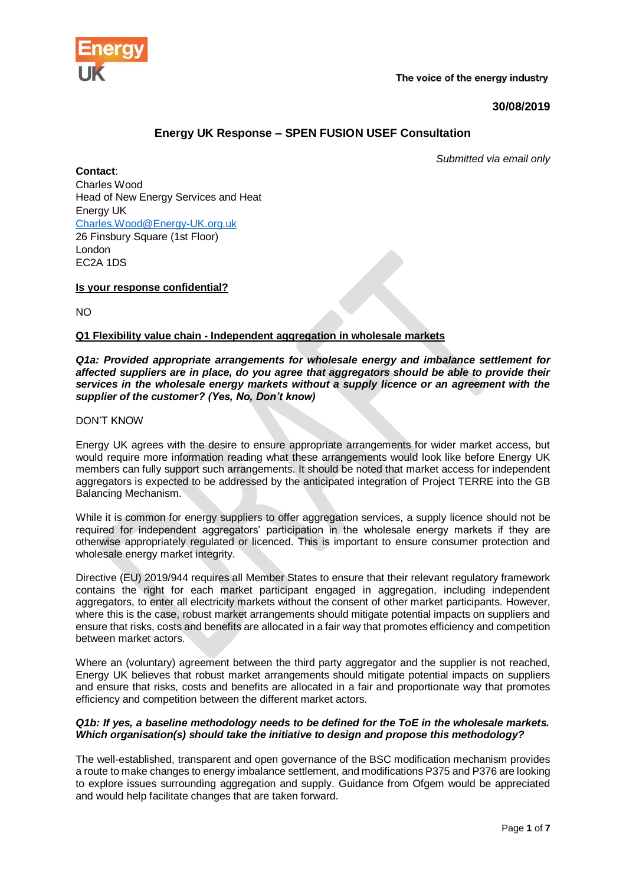

The voice of the energy industry

# **30/08/2019**

# **Energy UK Response – SPEN FUSION USEF Consultation**

*Submitted via email only*

**Contact**: Charles Wood Head of New Energy Services and Heat Energy UK [Charles.Wood@Energy-UK.org.uk](mailto:Charles.Wood@Energy-UK.org.uk) 26 Finsbury Square (1st Floor) London EC2A 1DS

**Is your response confidential?**

NO

### **Q1 Flexibility value chain - Independent aggregation in wholesale markets**

#### *Q1a: Provided appropriate arrangements for wholesale energy and imbalance settlement for affected suppliers are in place, do you agree that aggregators should be able to provide their services in the wholesale energy markets without a supply licence or an agreement with the supplier of the customer? (Yes, No, Don't know)*

#### DON'T KNOW

Energy UK agrees with the desire to ensure appropriate arrangements for wider market access, but would require more information reading what these arrangements would look like before Energy UK members can fully support such arrangements. It should be noted that market access for independent aggregators is expected to be addressed by the anticipated integration of Project TERRE into the GB Balancing Mechanism.

While it is common for energy suppliers to offer aggregation services, a supply licence should not be required for independent aggregators' participation in the wholesale energy markets if they are otherwise appropriately regulated or licenced. This is important to ensure consumer protection and wholesale energy market integrity.

Directive (EU) 2019/944 requires all Member States to ensure that their relevant regulatory framework contains the right for each market participant engaged in aggregation, including independent aggregators, to enter all electricity markets without the consent of other market participants. However, where this is the case, robust market arrangements should mitigate potential impacts on suppliers and ensure that risks, costs and benefits are allocated in a fair way that promotes efficiency and competition between market actors.

Where an (voluntary) agreement between the third party aggregator and the supplier is not reached, Energy UK believes that robust market arrangements should mitigate potential impacts on suppliers and ensure that risks, costs and benefits are allocated in a fair and proportionate way that promotes efficiency and competition between the different market actors.

#### *Q1b: If yes, a baseline methodology needs to be defined for the ToE in the wholesale markets. Which organisation(s) should take the initiative to design and propose this methodology?*

The well-established, transparent and open governance of the BSC modification mechanism provides a route to make changes to energy imbalance settlement, and modifications P375 and P376 are looking to explore issues surrounding aggregation and supply. Guidance from Ofgem would be appreciated and would help facilitate changes that are taken forward.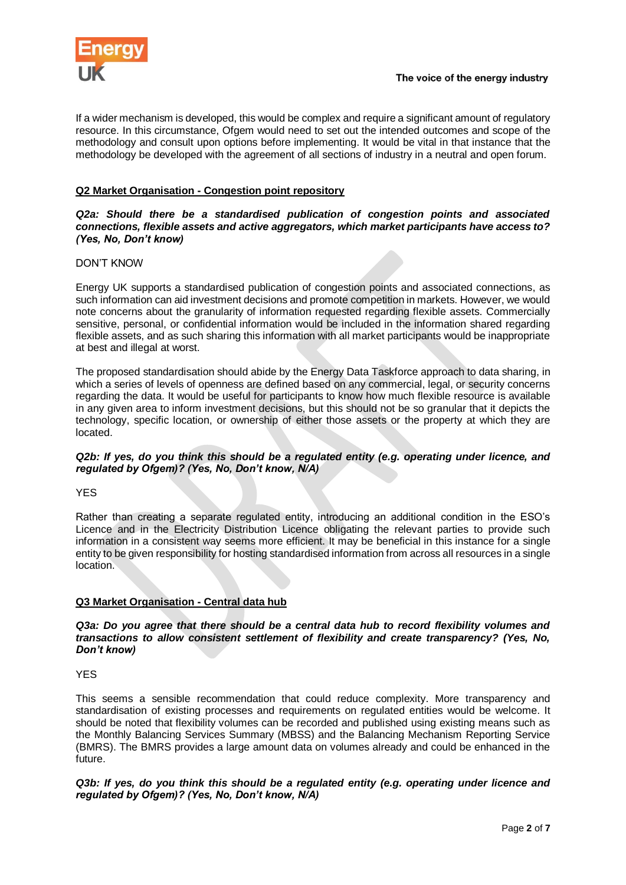

If a wider mechanism is developed, this would be complex and require a significant amount of regulatory resource. In this circumstance, Ofgem would need to set out the intended outcomes and scope of the methodology and consult upon options before implementing. It would be vital in that instance that the methodology be developed with the agreement of all sections of industry in a neutral and open forum.

# **Q2 Market Organisation - Congestion point repository**

#### *Q2a: Should there be a standardised publication of congestion points and associated connections, flexible assets and active aggregators, which market participants have access to? (Yes, No, Don't know)*

### DON'T KNOW

Energy UK supports a standardised publication of congestion points and associated connections, as such information can aid investment decisions and promote competition in markets. However, we would note concerns about the granularity of information requested regarding flexible assets. Commercially sensitive, personal, or confidential information would be included in the information shared regarding flexible assets, and as such sharing this information with all market participants would be inappropriate at best and illegal at worst.

The proposed standardisation should abide by the Energy Data Taskforce approach to data sharing, in which a series of levels of openness are defined based on any commercial, legal, or security concerns regarding the data. It would be useful for participants to know how much flexible resource is available in any given area to inform investment decisions, but this should not be so granular that it depicts the technology, specific location, or ownership of either those assets or the property at which they are located.

*Q2b: If yes, do you think this should be a regulated entity (e.g. operating under licence, and regulated by Ofgem)? (Yes, No, Don't know, N/A)*

### **YFS**

Rather than creating a separate regulated entity, introducing an additional condition in the ESO's Licence and in the Electricity Distribution Licence obligating the relevant parties to provide such information in a consistent way seems more efficient. It may be beneficial in this instance for a single entity to be given responsibility for hosting standardised information from across all resources in a single location.

### **Q3 Market Organisation - Central data hub**

*Q3a: Do you agree that there should be a central data hub to record flexibility volumes and transactions to allow consistent settlement of flexibility and create transparency? (Yes, No, Don't know)*

YES

This seems a sensible recommendation that could reduce complexity. More transparency and standardisation of existing processes and requirements on regulated entities would be welcome. It should be noted that flexibility volumes can be recorded and published using existing means such as the Monthly Balancing Services Summary (MBSS) and the Balancing Mechanism Reporting Service (BMRS). The BMRS provides a large amount data on volumes already and could be enhanced in the future.

*Q3b: If yes, do you think this should be a regulated entity (e.g. operating under licence and regulated by Ofgem)? (Yes, No, Don't know, N/A)*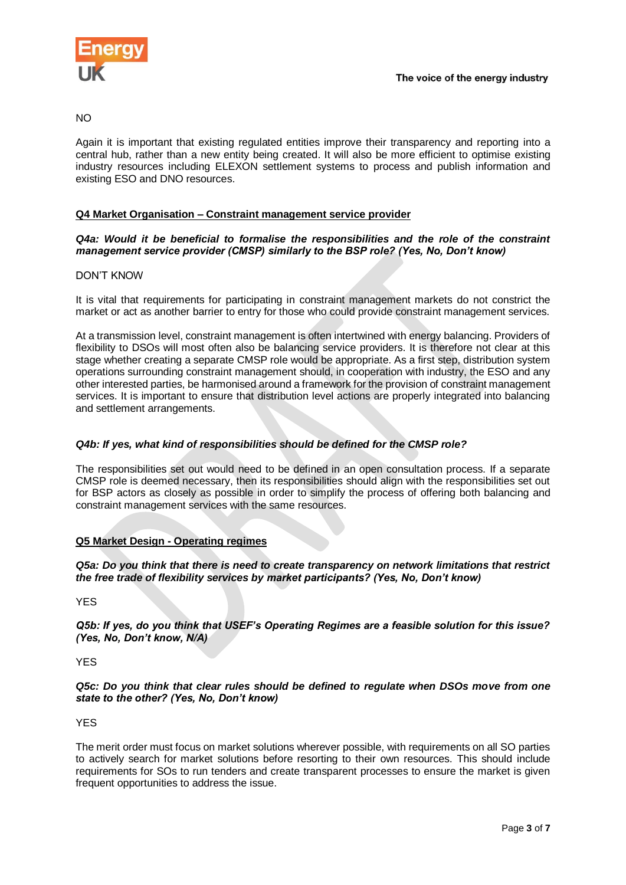

### NO

Again it is important that existing regulated entities improve their transparency and reporting into a central hub, rather than a new entity being created. It will also be more efficient to optimise existing industry resources including ELEXON settlement systems to process and publish information and existing ESO and DNO resources.

### **Q4 Market Organisation – Constraint management service provider**

#### *Q4a: Would it be beneficial to formalise the responsibilities and the role of the constraint management service provider (CMSP) similarly to the BSP role? (Yes, No, Don't know)*

### DON'T KNOW

It is vital that requirements for participating in constraint management markets do not constrict the market or act as another barrier to entry for those who could provide constraint management services.

At a transmission level, constraint management is often intertwined with energy balancing. Providers of flexibility to DSOs will most often also be balancing service providers. It is therefore not clear at this stage whether creating a separate CMSP role would be appropriate. As a first step, distribution system operations surrounding constraint management should, in cooperation with industry, the ESO and any other interested parties, be harmonised around a framework for the provision of constraint management services. It is important to ensure that distribution level actions are properly integrated into balancing and settlement arrangements.

### *Q4b: If yes, what kind of responsibilities should be defined for the CMSP role?*

The responsibilities set out would need to be defined in an open consultation process. If a separate CMSP role is deemed necessary, then its responsibilities should align with the responsibilities set out for BSP actors as closely as possible in order to simplify the process of offering both balancing and constraint management services with the same resources.

### **Q5 Market Design - Operating regimes**

*Q5a: Do you think that there is need to create transparency on network limitations that restrict the free trade of flexibility services by market participants? (Yes, No, Don't know)*

YES

*Q5b: If yes, do you think that USEF's Operating Regimes are a feasible solution for this issue? (Yes, No, Don't know, N/A)* 

**YFS** 

*Q5c: Do you think that clear rules should be defined to regulate when DSOs move from one state to the other? (Yes, No, Don't know)*

**YFS** 

The merit order must focus on market solutions wherever possible, with requirements on all SO parties to actively search for market solutions before resorting to their own resources. This should include requirements for SOs to run tenders and create transparent processes to ensure the market is given frequent opportunities to address the issue.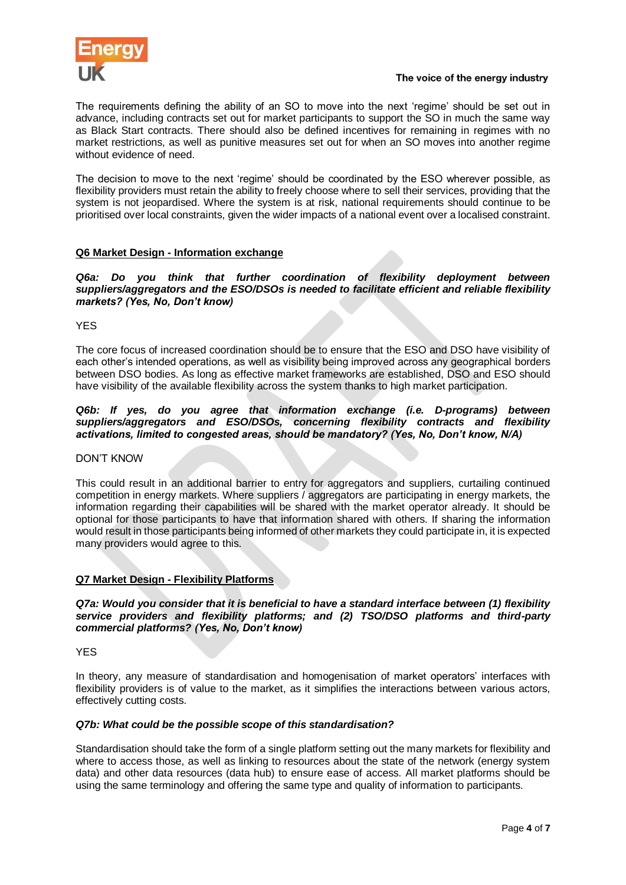

The requirements defining the ability of an SO to move into the next 'regime' should be set out in advance, including contracts set out for market participants to support the SO in much the same way as Black Start contracts. There should also be defined incentives for remaining in regimes with no market restrictions, as well as punitive measures set out for when an SO moves into another regime without evidence of need.

The decision to move to the next 'regime' should be coordinated by the ESO wherever possible, as flexibility providers must retain the ability to freely choose where to sell their services, providing that the system is not jeopardised. Where the system is at risk, national requirements should continue to be prioritised over local constraints, given the wider impacts of a national event over a localised constraint.

# **Q6 Market Design - Information exchange**

*Q6a: Do you think that further coordination of flexibility deployment between suppliers/aggregators and the ESO/DSOs is needed to facilitate efficient and reliable flexibility markets? (Yes, No, Don't know)*

YES

The core focus of increased coordination should be to ensure that the ESO and DSO have visibility of each other's intended operations, as well as visibility being improved across any geographical borders between DSO bodies. As long as effective market frameworks are established, DSO and ESO should have visibility of the available flexibility across the system thanks to high market participation.

#### *Q6b: If yes, do you agree that information exchange (i.e. D-programs) between suppliers/aggregators and ESO/DSOs, concerning flexibility contracts and flexibility activations, limited to congested areas, should be mandatory? (Yes, No, Don't know, N/A)*

### DON'T KNOW

This could result in an additional barrier to entry for aggregators and suppliers, curtailing continued competition in energy markets. Where suppliers / aggregators are participating in energy markets, the information regarding their capabilities will be shared with the market operator already. It should be optional for those participants to have that information shared with others. If sharing the information would result in those participants being informed of other markets they could participate in, it is expected many providers would agree to this.

### **Q7 Market Design - Flexibility Platforms**

*Q7a: Would you consider that it is beneficial to have a standard interface between (1) flexibility service providers and flexibility platforms; and (2) TSO/DSO platforms and third-party commercial platforms? (Yes, No, Don't know)*

**YFS** 

In theory, any measure of standardisation and homogenisation of market operators' interfaces with flexibility providers is of value to the market, as it simplifies the interactions between various actors, effectively cutting costs.

### *Q7b: What could be the possible scope of this standardisation?*

Standardisation should take the form of a single platform setting out the many markets for flexibility and where to access those, as well as linking to resources about the state of the network (energy system data) and other data resources (data hub) to ensure ease of access. All market platforms should be using the same terminology and offering the same type and quality of information to participants.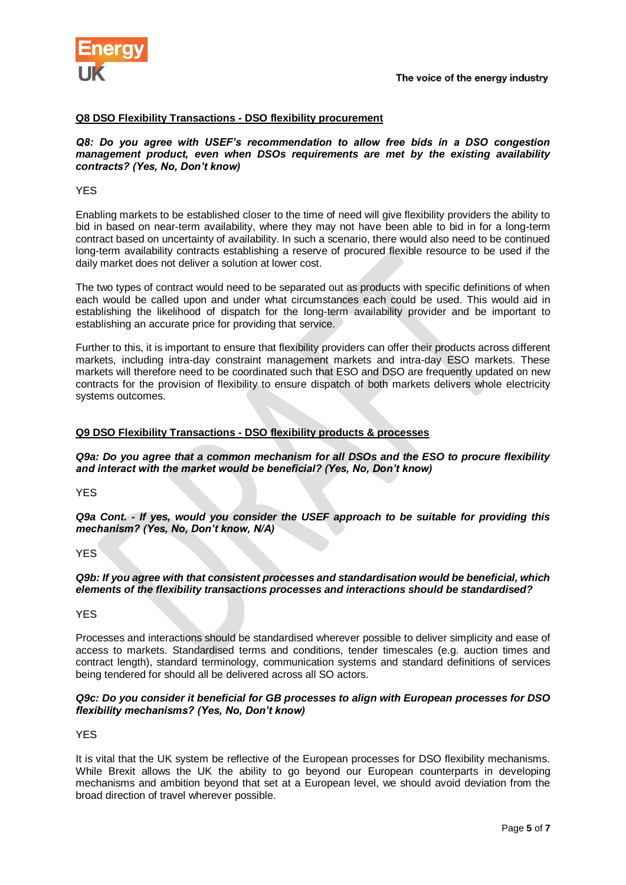

#### **Q8 DSO Flexibility Transactions - DSO flexibility procurement**

*Q8: Do you agree with USEF's recommendation to allow free bids in a DSO congestion management product, even when DSOs requirements are met by the existing availability contracts? (Yes, No, Don't know)*

#### YES

Enabling markets to be established closer to the time of need will give flexibility providers the ability to bid in based on near-term availability, where they may not have been able to bid in for a long-term contract based on uncertainty of availability. In such a scenario, there would also need to be continued long-term availability contracts establishing a reserve of procured flexible resource to be used if the daily market does not deliver a solution at lower cost.

The two types of contract would need to be separated out as products with specific definitions of when each would be called upon and under what circumstances each could be used. This would aid in establishing the likelihood of dispatch for the long-term availability provider and be important to establishing an accurate price for providing that service.

Further to this, it is important to ensure that flexibility providers can offer their products across different markets, including intra-day constraint management markets and intra-day ESO markets. These markets will therefore need to be coordinated such that ESO and DSO are frequently updated on new contracts for the provision of flexibility to ensure dispatch of both markets delivers whole electricity systems outcomes.

#### **Q9 DSO Flexibility Transactions - DSO flexibility products & processes**

*Q9a: Do you agree that a common mechanism for all DSOs and the ESO to procure flexibility and interact with the market would be beneficial? (Yes, No, Don't know)* 

**YFS** 

*Q9a Cont. - If yes, would you consider the USEF approach to be suitable for providing this mechanism? (Yes, No, Don't know, N/A)* 

#### **YFS**

*Q9b: If you agree with that consistent processes and standardisation would be beneficial, which elements of the flexibility transactions processes and interactions should be standardised?*

#### YES

Processes and interactions should be standardised wherever possible to deliver simplicity and ease of access to markets. Standardised terms and conditions, tender timescales (e.g. auction times and contract length), standard terminology, communication systems and standard definitions of services being tendered for should all be delivered across all SO actors.

#### *Q9c: Do you consider it beneficial for GB processes to align with European processes for DSO flexibility mechanisms? (Yes, No, Don't know)*

YES

It is vital that the UK system be reflective of the European processes for DSO flexibility mechanisms. While Brexit allows the UK the ability to go beyond our European counterparts in developing mechanisms and ambition beyond that set at a European level, we should avoid deviation from the broad direction of travel wherever possible.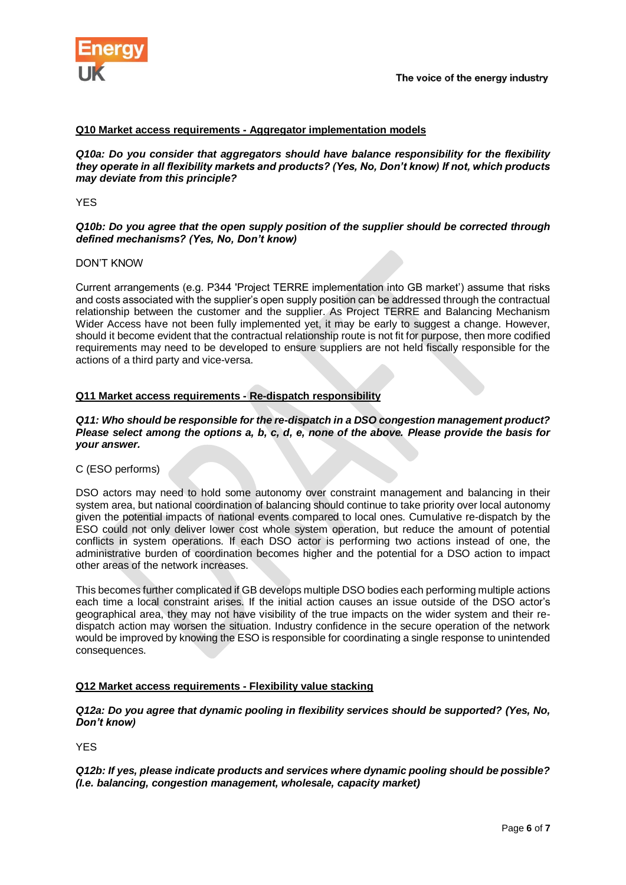

### **Q10 Market access requirements - Aggregator implementation models**

*Q10a: Do you consider that aggregators should have balance responsibility for the flexibility they operate in all flexibility markets and products? (Yes, No, Don't know) If not, which products may deviate from this principle?* 

YES

#### *Q10b: Do you agree that the open supply position of the supplier should be corrected through defined mechanisms? (Yes, No, Don't know)*

#### DON'T KNOW

Current arrangements (e.g. P344 'Project TERRE implementation into GB market') assume that risks and costs associated with the supplier's open supply position can be addressed through the contractual relationship between the customer and the supplier. As Project TERRE and Balancing Mechanism Wider Access have not been fully implemented yet, it may be early to suggest a change. However, should it become evident that the contractual relationship route is not fit for purpose, then more codified requirements may need to be developed to ensure suppliers are not held fiscally responsible for the actions of a third party and vice-versa.

### **Q11 Market access requirements - Re-dispatch responsibility**

#### *Q11: Who should be responsible for the re-dispatch in a DSO congestion management product? Please select among the options a, b, c, d, e, none of the above. Please provide the basis for your answer.*

#### C (ESO performs)

DSO actors may need to hold some autonomy over constraint management and balancing in their system area, but national coordination of balancing should continue to take priority over local autonomy given the potential impacts of national events compared to local ones. Cumulative re-dispatch by the ESO could not only deliver lower cost whole system operation, but reduce the amount of potential conflicts in system operations. If each DSO actor is performing two actions instead of one, the administrative burden of coordination becomes higher and the potential for a DSO action to impact other areas of the network increases.

This becomes further complicated if GB develops multiple DSO bodies each performing multiple actions each time a local constraint arises. If the initial action causes an issue outside of the DSO actor's geographical area, they may not have visibility of the true impacts on the wider system and their redispatch action may worsen the situation. Industry confidence in the secure operation of the network would be improved by knowing the ESO is responsible for coordinating a single response to unintended consequences.

### **Q12 Market access requirements - Flexibility value stacking**

*Q12a: Do you agree that dynamic pooling in flexibility services should be supported? (Yes, No, Don't know)*

YES

*Q12b: If yes, please indicate products and services where dynamic pooling should be possible? (I.e. balancing, congestion management, wholesale, capacity market)*